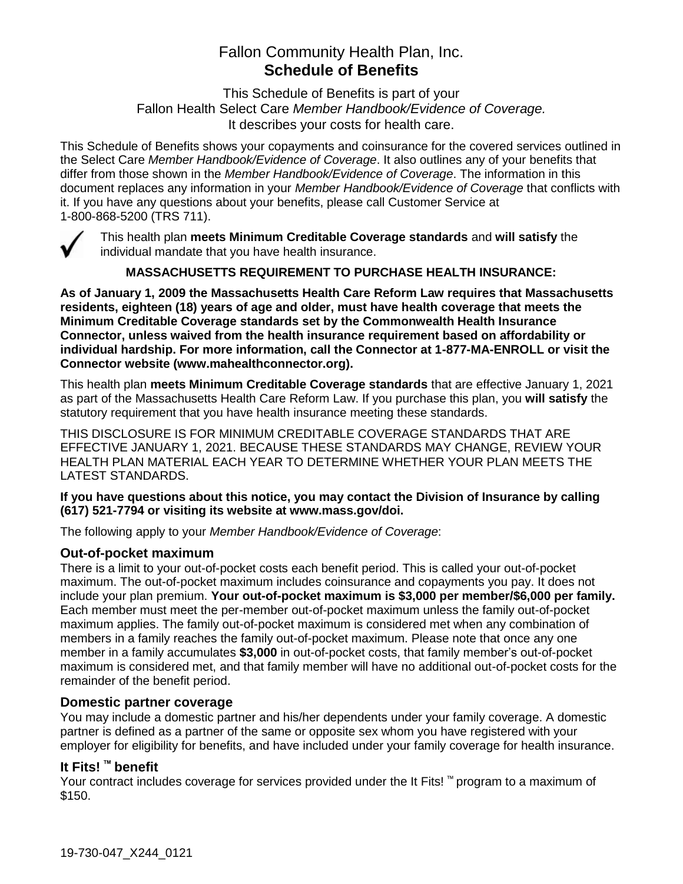# Fallon Community Health Plan, Inc. **Schedule of Benefits**

This Schedule of Benefits is part of your Fallon Health Select Care *Member Handbook/Evidence of Coverage.*  It describes your costs for health care.

This Schedule of Benefits shows your copayments and coinsurance for the covered services outlined in the Select Care *Member Handbook/Evidence of Coverage*. It also outlines any of your benefits that differ from those shown in the *Member Handbook/Evidence of Coverage*. The information in this document replaces any information in your *Member Handbook/Evidence of Coverage* that conflicts with it. If you have any questions about your benefits, please call Customer Service at 1-800-868-5200 (TRS 711).



This health plan **meets Minimum Creditable Coverage standards** and **will satisfy** the individual mandate that you have health insurance.

**MASSACHUSETTS REQUIREMENT TO PURCHASE HEALTH INSURANCE:**

**As of January 1, 2009 the Massachusetts Health Care Reform Law requires that Massachusetts residents, eighteen (18) years of age and older, must have health coverage that meets the Minimum Creditable Coverage standards set by the Commonwealth Health Insurance Connector, unless waived from the health insurance requirement based on affordability or individual hardship. For more information, call the Connector at 1-877-MA-ENROLL or visit the Connector website (www.mahealthconnector.org).** 

This health plan **meets Minimum Creditable Coverage standards** that are effective January 1, 2021 as part of the Massachusetts Health Care Reform Law. If you purchase this plan, you **will satisfy** the statutory requirement that you have health insurance meeting these standards.

THIS DISCLOSURE IS FOR MINIMUM CREDITABLE COVERAGE STANDARDS THAT ARE EFFECTIVE JANUARY 1, 2021. BECAUSE THESE STANDARDS MAY CHANGE, REVIEW YOUR HEALTH PLAN MATERIAL EACH YEAR TO DETERMINE WHETHER YOUR PLAN MEETS THE LATEST STANDARDS.

#### **If you have questions about this notice, you may contact the Division of Insurance by calling (617) 521-7794 or visiting its website at www.mass.gov/doi.**

The following apply to your *Member Handbook/Evidence of Coverage*:

#### **Out-of-pocket maximum**

There is a limit to your out-of-pocket costs each benefit period. This is called your out-of-pocket maximum. The out-of-pocket maximum includes coinsurance and copayments you pay. It does not include your plan premium. **Your out-of-pocket maximum is \$3,000 per member/\$6,000 per family.** Each member must meet the per-member out-of-pocket maximum unless the family out-of-pocket maximum applies. The family out-of-pocket maximum is considered met when any combination of members in a family reaches the family out-of-pocket maximum. Please note that once any one member in a family accumulates **\$3,000** in out-of-pocket costs, that family member's out-of-pocket maximum is considered met, and that family member will have no additional out-of-pocket costs for the remainder of the benefit period.

#### **Domestic partner coverage**

You may include a domestic partner and his/her dependents under your family coverage. A domestic partner is defined as a partner of the same or opposite sex whom you have registered with your employer for eligibility for benefits, and have included under your family coverage for health insurance.

# **It Fits! ™ benefit**

Your contract includes coverage for services provided under the It Fits! ™ program to a maximum of \$150.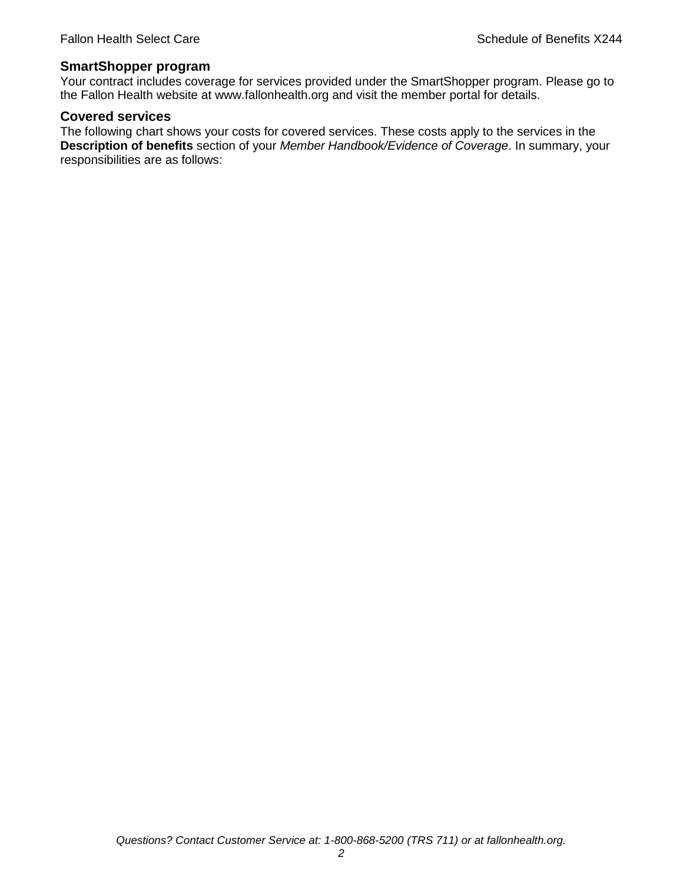#### **SmartShopper program**

Your contract includes coverage for services provided under the SmartShopper program. Please go to the Fallon Health website at www.fallonhealth.org and visit the member portal for details.

#### **Covered services**

The following chart shows your costs for covered services. These costs apply to the services in the **Description of benefits** section of your *Member Handbook/Evidence of Coverage*. In summary, your responsibilities are as follows: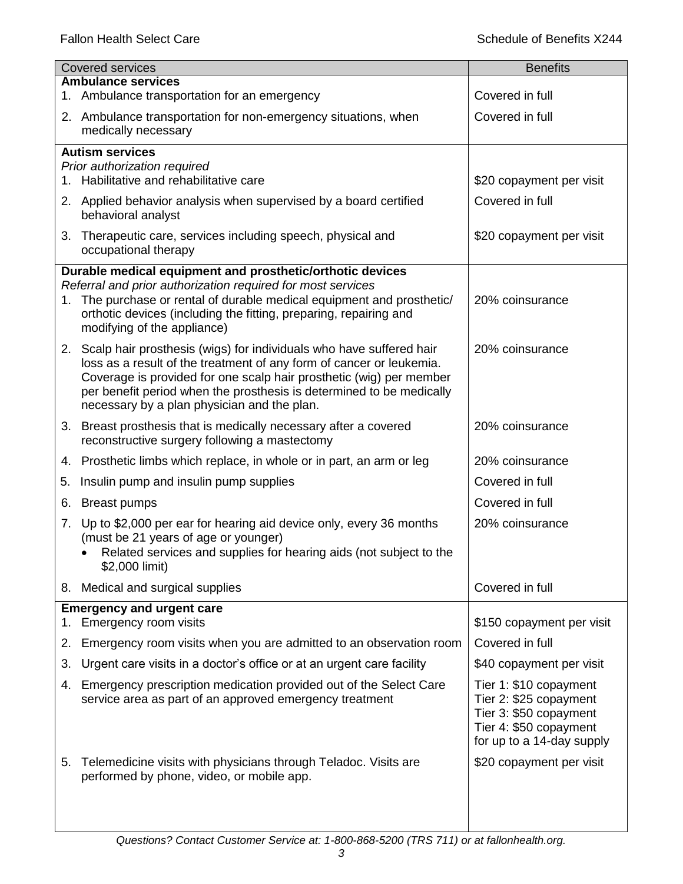| <b>Covered services</b> |                                                                                                                                                | <b>Benefits</b>                                  |
|-------------------------|------------------------------------------------------------------------------------------------------------------------------------------------|--------------------------------------------------|
|                         | <b>Ambulance services</b><br>1. Ambulance transportation for an emergency                                                                      | Covered in full                                  |
|                         | 2. Ambulance transportation for non-emergency situations, when                                                                                 | Covered in full                                  |
|                         | medically necessary                                                                                                                            |                                                  |
|                         | <b>Autism services</b>                                                                                                                         |                                                  |
|                         | Prior authorization required<br>1. Habilitative and rehabilitative care                                                                        | \$20 copayment per visit                         |
|                         | 2. Applied behavior analysis when supervised by a board certified                                                                              | Covered in full                                  |
|                         | behavioral analyst                                                                                                                             |                                                  |
|                         | 3. Therapeutic care, services including speech, physical and<br>occupational therapy                                                           | \$20 copayment per visit                         |
|                         | Durable medical equipment and prosthetic/orthotic devices                                                                                      |                                                  |
|                         | Referral and prior authorization required for most services<br>1. The purchase or rental of durable medical equipment and prosthetic/          | 20% coinsurance                                  |
|                         | orthotic devices (including the fitting, preparing, repairing and                                                                              |                                                  |
|                         | modifying of the appliance)                                                                                                                    |                                                  |
|                         | 2. Scalp hair prosthesis (wigs) for individuals who have suffered hair<br>loss as a result of the treatment of any form of cancer or leukemia. | 20% coinsurance                                  |
|                         | Coverage is provided for one scalp hair prosthetic (wig) per member                                                                            |                                                  |
|                         | per benefit period when the prosthesis is determined to be medically<br>necessary by a plan physician and the plan.                            |                                                  |
|                         | 3. Breast prosthesis that is medically necessary after a covered                                                                               | 20% coinsurance                                  |
|                         | reconstructive surgery following a mastectomy                                                                                                  |                                                  |
|                         | 4. Prosthetic limbs which replace, in whole or in part, an arm or leg                                                                          | 20% coinsurance                                  |
| 5.                      | Insulin pump and insulin pump supplies                                                                                                         | Covered in full                                  |
| 6.                      | <b>Breast pumps</b>                                                                                                                            | Covered in full                                  |
| 7.                      | Up to \$2,000 per ear for hearing aid device only, every 36 months                                                                             | 20% coinsurance                                  |
|                         | (must be 21 years of age or younger)<br>Related services and supplies for hearing aids (not subject to the                                     |                                                  |
|                         | \$2,000 limit)                                                                                                                                 |                                                  |
|                         | 8. Medical and surgical supplies                                                                                                               | Covered in full                                  |
|                         | <b>Emergency and urgent care</b><br>Emergency room visits                                                                                      | \$150 copayment per visit                        |
| 1.<br>2.                | Emergency room visits when you are admitted to an observation room                                                                             | Covered in full                                  |
| 3.                      | Urgent care visits in a doctor's office or at an urgent care facility                                                                          | \$40 copayment per visit                         |
| 4.                      | Emergency prescription medication provided out of the Select Care                                                                              | Tier 1: \$10 copayment                           |
|                         | service area as part of an approved emergency treatment                                                                                        | Tier 2: \$25 copayment                           |
|                         |                                                                                                                                                | Tier 3: \$50 copayment<br>Tier 4: \$50 copayment |
|                         |                                                                                                                                                | for up to a 14-day supply                        |
| 5.                      | Telemedicine visits with physicians through Teladoc. Visits are                                                                                | \$20 copayment per visit                         |
|                         | performed by phone, video, or mobile app.                                                                                                      |                                                  |
|                         |                                                                                                                                                |                                                  |
|                         |                                                                                                                                                |                                                  |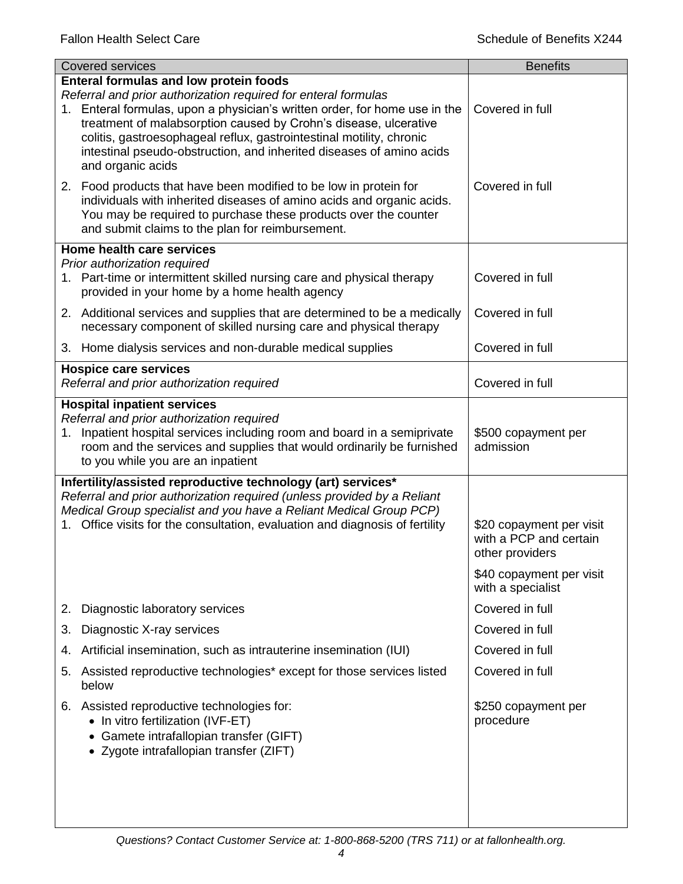| <b>Covered services</b>                                                                                                                                                                                                                                                                                                                                                                                                                | <b>Benefits</b>                                                       |
|----------------------------------------------------------------------------------------------------------------------------------------------------------------------------------------------------------------------------------------------------------------------------------------------------------------------------------------------------------------------------------------------------------------------------------------|-----------------------------------------------------------------------|
| <b>Enteral formulas and low protein foods</b><br>Referral and prior authorization required for enteral formulas<br>1. Enteral formulas, upon a physician's written order, for home use in the<br>treatment of malabsorption caused by Crohn's disease, ulcerative<br>colitis, gastroesophageal reflux, gastrointestinal motility, chronic<br>intestinal pseudo-obstruction, and inherited diseases of amino acids<br>and organic acids | Covered in full                                                       |
| 2. Food products that have been modified to be low in protein for<br>individuals with inherited diseases of amino acids and organic acids.<br>You may be required to purchase these products over the counter<br>and submit claims to the plan for reimbursement.                                                                                                                                                                      | Covered in full                                                       |
| Home health care services                                                                                                                                                                                                                                                                                                                                                                                                              |                                                                       |
| Prior authorization required<br>1. Part-time or intermittent skilled nursing care and physical therapy<br>provided in your home by a home health agency                                                                                                                                                                                                                                                                                | Covered in full                                                       |
| 2. Additional services and supplies that are determined to be a medically<br>necessary component of skilled nursing care and physical therapy                                                                                                                                                                                                                                                                                          | Covered in full                                                       |
| 3. Home dialysis services and non-durable medical supplies                                                                                                                                                                                                                                                                                                                                                                             | Covered in full                                                       |
| <b>Hospice care services</b><br>Referral and prior authorization required                                                                                                                                                                                                                                                                                                                                                              | Covered in full                                                       |
| <b>Hospital inpatient services</b>                                                                                                                                                                                                                                                                                                                                                                                                     |                                                                       |
| Referral and prior authorization required<br>1. Inpatient hospital services including room and board in a semiprivate<br>room and the services and supplies that would ordinarily be furnished<br>to you while you are an inpatient                                                                                                                                                                                                    | \$500 copayment per<br>admission                                      |
| Infertility/assisted reproductive technology (art) services*                                                                                                                                                                                                                                                                                                                                                                           |                                                                       |
| Referral and prior authorization required (unless provided by a Reliant                                                                                                                                                                                                                                                                                                                                                                |                                                                       |
| Medical Group specialist and you have a Reliant Medical Group PCP)<br>1. Office visits for the consultation, evaluation and diagnosis of fertility                                                                                                                                                                                                                                                                                     | \$20 copayment per visit<br>with a PCP and certain<br>other providers |
|                                                                                                                                                                                                                                                                                                                                                                                                                                        | \$40 copayment per visit<br>with a specialist                         |
| Diagnostic laboratory services<br>2.                                                                                                                                                                                                                                                                                                                                                                                                   | Covered in full                                                       |
| Diagnostic X-ray services<br>3.                                                                                                                                                                                                                                                                                                                                                                                                        | Covered in full                                                       |
| Artificial insemination, such as intrauterine insemination (IUI)<br>4.                                                                                                                                                                                                                                                                                                                                                                 | Covered in full                                                       |
| Assisted reproductive technologies* except for those services listed<br>5.<br>below                                                                                                                                                                                                                                                                                                                                                    | Covered in full                                                       |
| 6. Assisted reproductive technologies for:<br>• In vitro fertilization (IVF-ET)<br>• Gamete intrafallopian transfer (GIFT)<br>• Zygote intrafallopian transfer (ZIFT)                                                                                                                                                                                                                                                                  | \$250 copayment per<br>procedure                                      |
|                                                                                                                                                                                                                                                                                                                                                                                                                                        |                                                                       |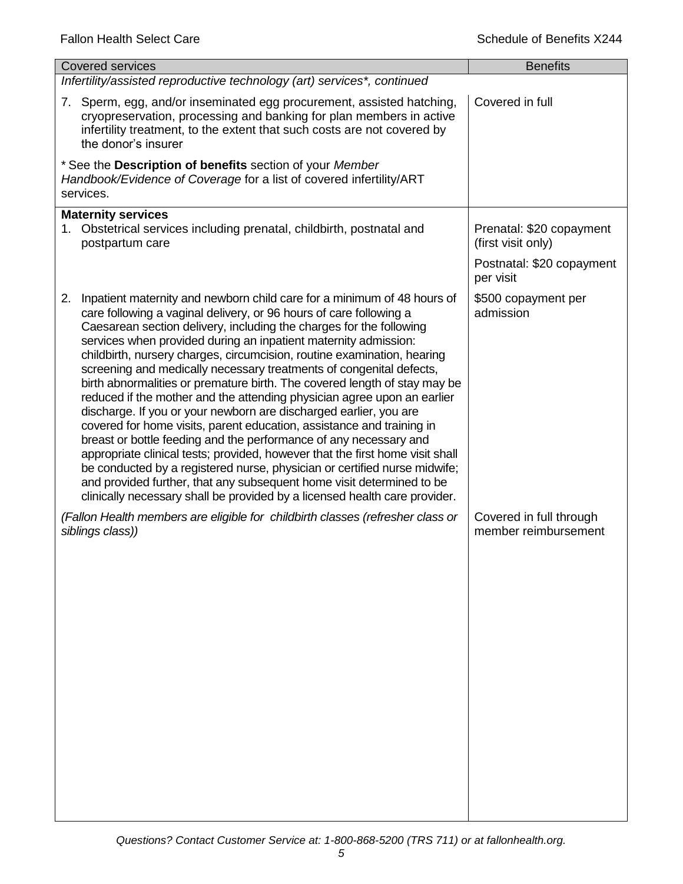| <b>Covered services</b>                                                                                                                                                                                                                                                                                                                                                                                                                                                                                                                                                                                                                                                                                                                                                                                                                                                                                                                                                                                                                                                                                                                         | <b>Benefits</b>                                 |
|-------------------------------------------------------------------------------------------------------------------------------------------------------------------------------------------------------------------------------------------------------------------------------------------------------------------------------------------------------------------------------------------------------------------------------------------------------------------------------------------------------------------------------------------------------------------------------------------------------------------------------------------------------------------------------------------------------------------------------------------------------------------------------------------------------------------------------------------------------------------------------------------------------------------------------------------------------------------------------------------------------------------------------------------------------------------------------------------------------------------------------------------------|-------------------------------------------------|
| Infertility/assisted reproductive technology (art) services*, continued                                                                                                                                                                                                                                                                                                                                                                                                                                                                                                                                                                                                                                                                                                                                                                                                                                                                                                                                                                                                                                                                         |                                                 |
| 7. Sperm, egg, and/or inseminated egg procurement, assisted hatching,<br>cryopreservation, processing and banking for plan members in active<br>infertility treatment, to the extent that such costs are not covered by<br>the donor's insurer                                                                                                                                                                                                                                                                                                                                                                                                                                                                                                                                                                                                                                                                                                                                                                                                                                                                                                  | Covered in full                                 |
| * See the Description of benefits section of your Member<br>Handbook/Evidence of Coverage for a list of covered infertility/ART<br>services.                                                                                                                                                                                                                                                                                                                                                                                                                                                                                                                                                                                                                                                                                                                                                                                                                                                                                                                                                                                                    |                                                 |
| <b>Maternity services</b><br>1. Obstetrical services including prenatal, childbirth, postnatal and<br>postpartum care                                                                                                                                                                                                                                                                                                                                                                                                                                                                                                                                                                                                                                                                                                                                                                                                                                                                                                                                                                                                                           | Prenatal: \$20 copayment<br>(first visit only)  |
|                                                                                                                                                                                                                                                                                                                                                                                                                                                                                                                                                                                                                                                                                                                                                                                                                                                                                                                                                                                                                                                                                                                                                 | Postnatal: \$20 copayment<br>per visit          |
| Inpatient maternity and newborn child care for a minimum of 48 hours of<br>2.<br>care following a vaginal delivery, or 96 hours of care following a<br>Caesarean section delivery, including the charges for the following<br>services when provided during an inpatient maternity admission:<br>childbirth, nursery charges, circumcision, routine examination, hearing<br>screening and medically necessary treatments of congenital defects,<br>birth abnormalities or premature birth. The covered length of stay may be<br>reduced if the mother and the attending physician agree upon an earlier<br>discharge. If you or your newborn are discharged earlier, you are<br>covered for home visits, parent education, assistance and training in<br>breast or bottle feeding and the performance of any necessary and<br>appropriate clinical tests; provided, however that the first home visit shall<br>be conducted by a registered nurse, physician or certified nurse midwife;<br>and provided further, that any subsequent home visit determined to be<br>clinically necessary shall be provided by a licensed health care provider. | \$500 copayment per<br>admission                |
| (Fallon Health members are eligible for childbirth classes (refresher class or<br>siblings class))                                                                                                                                                                                                                                                                                                                                                                                                                                                                                                                                                                                                                                                                                                                                                                                                                                                                                                                                                                                                                                              | Covered in full through<br>member reimbursement |
|                                                                                                                                                                                                                                                                                                                                                                                                                                                                                                                                                                                                                                                                                                                                                                                                                                                                                                                                                                                                                                                                                                                                                 |                                                 |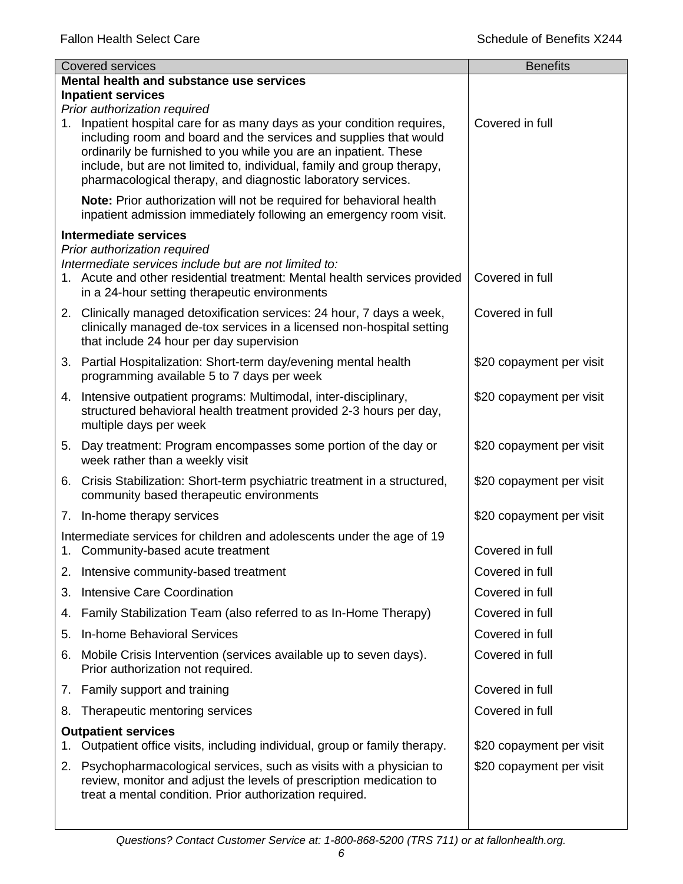|                                          | <b>Covered services</b>                                                                                                                                                                                                                                                                                                                                    | <b>Benefits</b>          |
|------------------------------------------|------------------------------------------------------------------------------------------------------------------------------------------------------------------------------------------------------------------------------------------------------------------------------------------------------------------------------------------------------------|--------------------------|
| Mental health and substance use services |                                                                                                                                                                                                                                                                                                                                                            |                          |
|                                          | <b>Inpatient services</b><br>Prior authorization required                                                                                                                                                                                                                                                                                                  |                          |
|                                          | 1. Inpatient hospital care for as many days as your condition requires,<br>including room and board and the services and supplies that would<br>ordinarily be furnished to you while you are an inpatient. These<br>include, but are not limited to, individual, family and group therapy,<br>pharmacological therapy, and diagnostic laboratory services. | Covered in full          |
|                                          | Note: Prior authorization will not be required for behavioral health<br>inpatient admission immediately following an emergency room visit.                                                                                                                                                                                                                 |                          |
|                                          | <b>Intermediate services</b>                                                                                                                                                                                                                                                                                                                               |                          |
|                                          | Prior authorization required<br>Intermediate services include but are not limited to:<br>1. Acute and other residential treatment: Mental health services provided<br>in a 24-hour setting therapeutic environments                                                                                                                                        | Covered in full          |
|                                          | 2. Clinically managed detoxification services: 24 hour, 7 days a week,<br>clinically managed de-tox services in a licensed non-hospital setting<br>that include 24 hour per day supervision                                                                                                                                                                | Covered in full          |
|                                          | 3. Partial Hospitalization: Short-term day/evening mental health<br>programming available 5 to 7 days per week                                                                                                                                                                                                                                             | \$20 copayment per visit |
|                                          | 4. Intensive outpatient programs: Multimodal, inter-disciplinary,<br>structured behavioral health treatment provided 2-3 hours per day,<br>multiple days per week                                                                                                                                                                                          | \$20 copayment per visit |
|                                          | 5. Day treatment: Program encompasses some portion of the day or<br>week rather than a weekly visit                                                                                                                                                                                                                                                        | \$20 copayment per visit |
|                                          | 6. Crisis Stabilization: Short-term psychiatric treatment in a structured,<br>community based therapeutic environments                                                                                                                                                                                                                                     | \$20 copayment per visit |
|                                          | 7. In-home therapy services                                                                                                                                                                                                                                                                                                                                | \$20 copayment per visit |
|                                          | Intermediate services for children and adolescents under the age of 19<br>1. Community-based acute treatment                                                                                                                                                                                                                                               | Covered in full          |
| 2.                                       | Intensive community-based treatment                                                                                                                                                                                                                                                                                                                        | Covered in full          |
| 3.                                       | Intensive Care Coordination                                                                                                                                                                                                                                                                                                                                | Covered in full          |
| 4.                                       | Family Stabilization Team (also referred to as In-Home Therapy)                                                                                                                                                                                                                                                                                            | Covered in full          |
| 5.                                       | In-home Behavioral Services                                                                                                                                                                                                                                                                                                                                | Covered in full          |
| 6.                                       | Mobile Crisis Intervention (services available up to seven days).<br>Prior authorization not required.                                                                                                                                                                                                                                                     | Covered in full          |
|                                          | 7. Family support and training                                                                                                                                                                                                                                                                                                                             | Covered in full          |
| 8.                                       | Therapeutic mentoring services                                                                                                                                                                                                                                                                                                                             | Covered in full          |
|                                          | <b>Outpatient services</b>                                                                                                                                                                                                                                                                                                                                 |                          |
| 1.                                       | Outpatient office visits, including individual, group or family therapy.                                                                                                                                                                                                                                                                                   | \$20 copayment per visit |
|                                          | 2. Psychopharmacological services, such as visits with a physician to<br>review, monitor and adjust the levels of prescription medication to<br>treat a mental condition. Prior authorization required.                                                                                                                                                    | \$20 copayment per visit |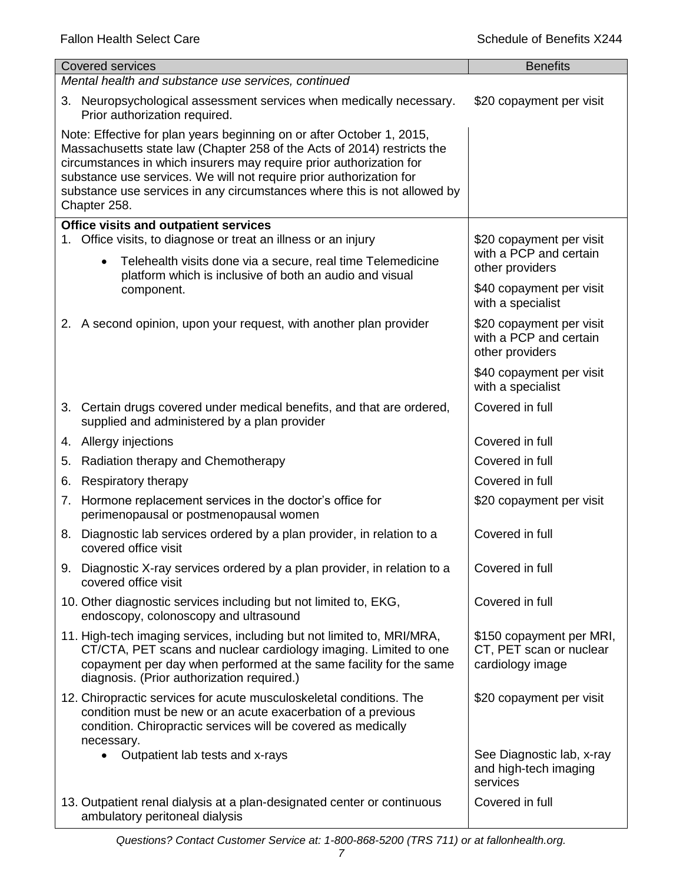|    | <b>Covered services</b>                                                                                                                                                                                                                                                                                                                                                                    | <b>Benefits</b>                                                         |  |
|----|--------------------------------------------------------------------------------------------------------------------------------------------------------------------------------------------------------------------------------------------------------------------------------------------------------------------------------------------------------------------------------------------|-------------------------------------------------------------------------|--|
|    | Mental health and substance use services, continued                                                                                                                                                                                                                                                                                                                                        |                                                                         |  |
|    | 3. Neuropsychological assessment services when medically necessary.<br>Prior authorization required.                                                                                                                                                                                                                                                                                       | \$20 copayment per visit                                                |  |
|    | Note: Effective for plan years beginning on or after October 1, 2015,<br>Massachusetts state law (Chapter 258 of the Acts of 2014) restricts the<br>circumstances in which insurers may require prior authorization for<br>substance use services. We will not require prior authorization for<br>substance use services in any circumstances where this is not allowed by<br>Chapter 258. |                                                                         |  |
|    | <b>Office visits and outpatient services</b><br>Office visits, to diagnose or treat an illness or an injury                                                                                                                                                                                                                                                                                | \$20 copayment per visit                                                |  |
|    | Telehealth visits done via a secure, real time Telemedicine<br>$\bullet$<br>platform which is inclusive of both an audio and visual                                                                                                                                                                                                                                                        | with a PCP and certain<br>other providers                               |  |
|    | component.                                                                                                                                                                                                                                                                                                                                                                                 | \$40 copayment per visit<br>with a specialist                           |  |
|    | 2. A second opinion, upon your request, with another plan provider                                                                                                                                                                                                                                                                                                                         | \$20 copayment per visit<br>with a PCP and certain<br>other providers   |  |
|    |                                                                                                                                                                                                                                                                                                                                                                                            | \$40 copayment per visit<br>with a specialist                           |  |
|    | 3. Certain drugs covered under medical benefits, and that are ordered,<br>supplied and administered by a plan provider                                                                                                                                                                                                                                                                     | Covered in full                                                         |  |
|    | 4. Allergy injections                                                                                                                                                                                                                                                                                                                                                                      | Covered in full                                                         |  |
| 5. | Radiation therapy and Chemotherapy                                                                                                                                                                                                                                                                                                                                                         | Covered in full                                                         |  |
| 6. | Respiratory therapy                                                                                                                                                                                                                                                                                                                                                                        | Covered in full                                                         |  |
| 7. | Hormone replacement services in the doctor's office for<br>perimenopausal or postmenopausal women                                                                                                                                                                                                                                                                                          | \$20 copayment per visit                                                |  |
| 8. | Diagnostic lab services ordered by a plan provider, in relation to a<br>covered office visit                                                                                                                                                                                                                                                                                               | Covered in full                                                         |  |
|    | 9. Diagnostic X-ray services ordered by a plan provider, in relation to a<br>covered office visit                                                                                                                                                                                                                                                                                          | Covered in full                                                         |  |
|    | 10. Other diagnostic services including but not limited to, EKG,<br>endoscopy, colonoscopy and ultrasound                                                                                                                                                                                                                                                                                  | Covered in full                                                         |  |
|    | 11. High-tech imaging services, including but not limited to, MRI/MRA,<br>CT/CTA, PET scans and nuclear cardiology imaging. Limited to one<br>copayment per day when performed at the same facility for the same<br>diagnosis. (Prior authorization required.)                                                                                                                             | \$150 copayment per MRI,<br>CT, PET scan or nuclear<br>cardiology image |  |
|    | 12. Chiropractic services for acute musculoskeletal conditions. The<br>condition must be new or an acute exacerbation of a previous<br>condition. Chiropractic services will be covered as medically<br>necessary.                                                                                                                                                                         | \$20 copayment per visit                                                |  |
|    | Outpatient lab tests and x-rays                                                                                                                                                                                                                                                                                                                                                            | See Diagnostic lab, x-ray<br>and high-tech imaging<br>services          |  |
|    | 13. Outpatient renal dialysis at a plan-designated center or continuous<br>ambulatory peritoneal dialysis                                                                                                                                                                                                                                                                                  | Covered in full                                                         |  |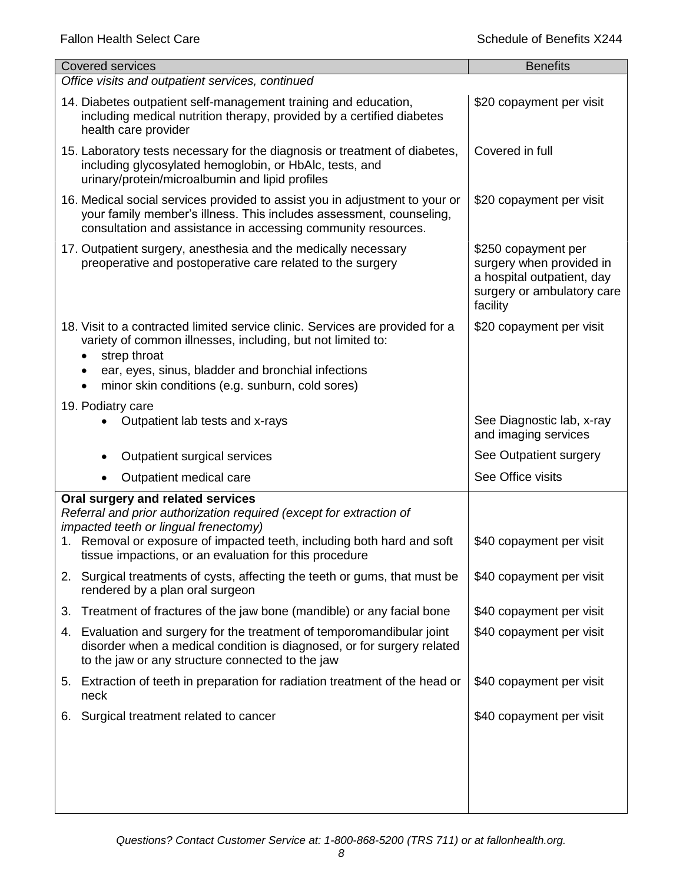| <b>Covered services</b>                                                                                                                                                                                             | <b>Benefits</b>                                                                                                         |
|---------------------------------------------------------------------------------------------------------------------------------------------------------------------------------------------------------------------|-------------------------------------------------------------------------------------------------------------------------|
| Office visits and outpatient services, continued                                                                                                                                                                    |                                                                                                                         |
| 14. Diabetes outpatient self-management training and education,<br>including medical nutrition therapy, provided by a certified diabetes<br>health care provider                                                    | \$20 copayment per visit                                                                                                |
| 15. Laboratory tests necessary for the diagnosis or treatment of diabetes,<br>including glycosylated hemoglobin, or HbAlc, tests, and<br>urinary/protein/microalbumin and lipid profiles                            | Covered in full                                                                                                         |
| 16. Medical social services provided to assist you in adjustment to your or<br>your family member's illness. This includes assessment, counseling,<br>consultation and assistance in accessing community resources. | \$20 copayment per visit                                                                                                |
| 17. Outpatient surgery, anesthesia and the medically necessary<br>preoperative and postoperative care related to the surgery                                                                                        | \$250 copayment per<br>surgery when provided in<br>a hospital outpatient, day<br>surgery or ambulatory care<br>facility |
| 18. Visit to a contracted limited service clinic. Services are provided for a<br>variety of common illnesses, including, but not limited to:<br>strep throat                                                        | \$20 copayment per visit                                                                                                |
| ear, eyes, sinus, bladder and bronchial infections<br>minor skin conditions (e.g. sunburn, cold sores)                                                                                                              |                                                                                                                         |
| 19. Podiatry care                                                                                                                                                                                                   |                                                                                                                         |
| Outpatient lab tests and x-rays                                                                                                                                                                                     | See Diagnostic lab, x-ray<br>and imaging services                                                                       |
| Outpatient surgical services                                                                                                                                                                                        | See Outpatient surgery                                                                                                  |
| Outpatient medical care                                                                                                                                                                                             | See Office visits                                                                                                       |
| Oral surgery and related services                                                                                                                                                                                   |                                                                                                                         |
| Referral and prior authorization required (except for extraction of<br>impacted teeth or lingual frenectomy)                                                                                                        |                                                                                                                         |
| 1. Removal or exposure of impacted teeth, including both hard and soft<br>tissue impactions, or an evaluation for this procedure                                                                                    | \$40 copayment per visit                                                                                                |
| 2. Surgical treatments of cysts, affecting the teeth or gums, that must be<br>rendered by a plan oral surgeon                                                                                                       | \$40 copayment per visit                                                                                                |
| Treatment of fractures of the jaw bone (mandible) or any facial bone<br>3.                                                                                                                                          | \$40 copayment per visit                                                                                                |
| Evaluation and surgery for the treatment of temporomandibular joint<br>4.<br>disorder when a medical condition is diagnosed, or for surgery related<br>to the jaw or any structure connected to the jaw             | \$40 copayment per visit                                                                                                |
| 5. Extraction of teeth in preparation for radiation treatment of the head or<br>neck                                                                                                                                | \$40 copayment per visit                                                                                                |
| Surgical treatment related to cancer<br>6.                                                                                                                                                                          | \$40 copayment per visit                                                                                                |
|                                                                                                                                                                                                                     |                                                                                                                         |
|                                                                                                                                                                                                                     |                                                                                                                         |
|                                                                                                                                                                                                                     |                                                                                                                         |
|                                                                                                                                                                                                                     |                                                                                                                         |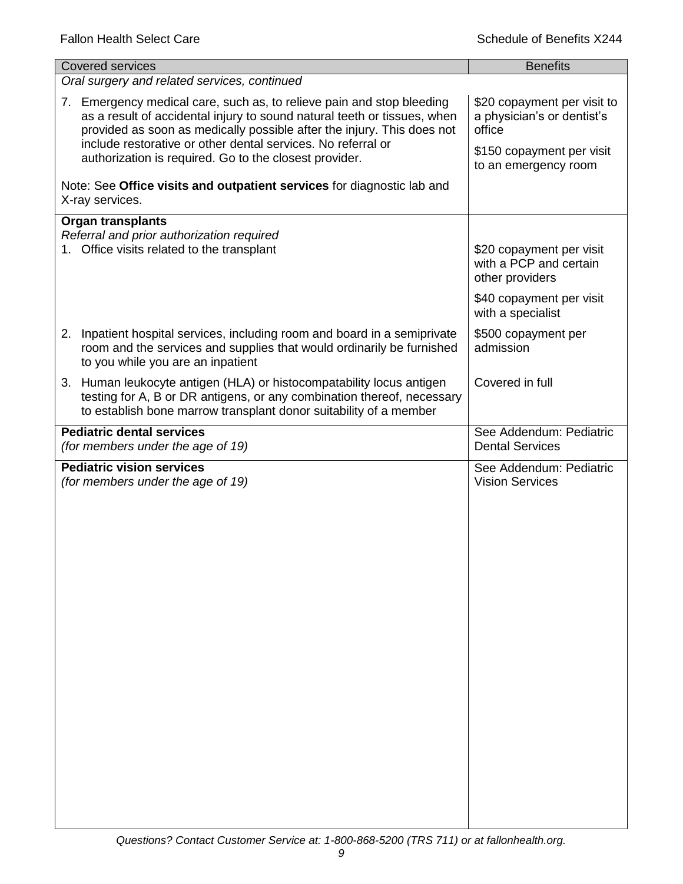| <b>Covered services</b>                                                                                                                                                                                                                                                                                                                               | <b>Benefits</b>                                                                                                          |
|-------------------------------------------------------------------------------------------------------------------------------------------------------------------------------------------------------------------------------------------------------------------------------------------------------------------------------------------------------|--------------------------------------------------------------------------------------------------------------------------|
| Oral surgery and related services, continued                                                                                                                                                                                                                                                                                                          |                                                                                                                          |
| 7. Emergency medical care, such as, to relieve pain and stop bleeding<br>as a result of accidental injury to sound natural teeth or tissues, when<br>provided as soon as medically possible after the injury. This does not<br>include restorative or other dental services. No referral or<br>authorization is required. Go to the closest provider. | \$20 copayment per visit to<br>a physician's or dentist's<br>office<br>\$150 copayment per visit<br>to an emergency room |
| Note: See Office visits and outpatient services for diagnostic lab and<br>X-ray services.                                                                                                                                                                                                                                                             |                                                                                                                          |
| <b>Organ transplants</b><br>Referral and prior authorization required<br>1. Office visits related to the transplant                                                                                                                                                                                                                                   | \$20 copayment per visit<br>with a PCP and certain<br>other providers                                                    |
|                                                                                                                                                                                                                                                                                                                                                       | \$40 copayment per visit<br>with a specialist                                                                            |
| 2. Inpatient hospital services, including room and board in a semiprivate<br>room and the services and supplies that would ordinarily be furnished<br>to you while you are an inpatient                                                                                                                                                               | \$500 copayment per<br>admission                                                                                         |
| 3. Human leukocyte antigen (HLA) or histocompatability locus antigen<br>testing for A, B or DR antigens, or any combination thereof, necessary<br>to establish bone marrow transplant donor suitability of a member                                                                                                                                   | Covered in full                                                                                                          |
| <b>Pediatric dental services</b><br>(for members under the age of 19)                                                                                                                                                                                                                                                                                 | See Addendum: Pediatric<br><b>Dental Services</b>                                                                        |
| <b>Pediatric vision services</b><br>(for members under the age of 19)                                                                                                                                                                                                                                                                                 | See Addendum: Pediatric<br><b>Vision Services</b>                                                                        |
|                                                                                                                                                                                                                                                                                                                                                       |                                                                                                                          |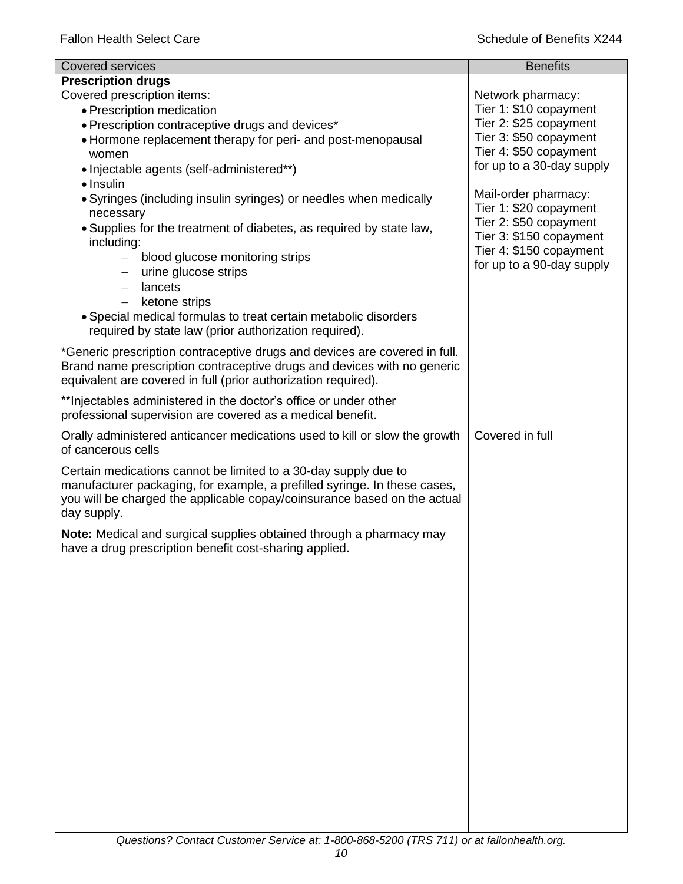| <b>Covered services</b>                                                                                                                                                                                                                                                                                                                                                                                                                                      | <b>Benefits</b>                                                                                                                                             |
|--------------------------------------------------------------------------------------------------------------------------------------------------------------------------------------------------------------------------------------------------------------------------------------------------------------------------------------------------------------------------------------------------------------------------------------------------------------|-------------------------------------------------------------------------------------------------------------------------------------------------------------|
| <b>Prescription drugs</b><br>Covered prescription items:<br>• Prescription medication<br>• Prescription contraceptive drugs and devices*                                                                                                                                                                                                                                                                                                                     | Network pharmacy:<br>Tier 1: \$10 copayment<br>Tier 2: \$25 copayment                                                                                       |
| • Hormone replacement therapy for peri- and post-menopausal<br>women<br>• Injectable agents (self-administered**)                                                                                                                                                                                                                                                                                                                                            | Tier 3: \$50 copayment<br>Tier 4: \$50 copayment<br>for up to a 30-day supply                                                                               |
| $\bullet$ Insulin<br>• Syringes (including insulin syringes) or needles when medically<br>necessary<br>• Supplies for the treatment of diabetes, as required by state law,<br>including:<br>blood glucose monitoring strips<br>$\overline{\phantom{0}}$<br>urine glucose strips<br>lancets<br>$\qquad \qquad -$<br>ketone strips<br>• Special medical formulas to treat certain metabolic disorders<br>required by state law (prior authorization required). | Mail-order pharmacy:<br>Tier 1: \$20 copayment<br>Tier 2: \$50 copayment<br>Tier 3: \$150 copayment<br>Tier 4: \$150 copayment<br>for up to a 90-day supply |
| *Generic prescription contraceptive drugs and devices are covered in full.<br>Brand name prescription contraceptive drugs and devices with no generic<br>equivalent are covered in full (prior authorization required).                                                                                                                                                                                                                                      |                                                                                                                                                             |
| ** Injectables administered in the doctor's office or under other<br>professional supervision are covered as a medical benefit.                                                                                                                                                                                                                                                                                                                              |                                                                                                                                                             |
| Orally administered anticancer medications used to kill or slow the growth<br>of cancerous cells                                                                                                                                                                                                                                                                                                                                                             | Covered in full                                                                                                                                             |
| Certain medications cannot be limited to a 30-day supply due to<br>manufacturer packaging, for example, a prefilled syringe. In these cases,<br>you will be charged the applicable copay/coinsurance based on the actual<br>day supply.                                                                                                                                                                                                                      |                                                                                                                                                             |
| Note: Medical and surgical supplies obtained through a pharmacy may<br>have a drug prescription benefit cost-sharing applied.                                                                                                                                                                                                                                                                                                                                |                                                                                                                                                             |
|                                                                                                                                                                                                                                                                                                                                                                                                                                                              |                                                                                                                                                             |
|                                                                                                                                                                                                                                                                                                                                                                                                                                                              |                                                                                                                                                             |
|                                                                                                                                                                                                                                                                                                                                                                                                                                                              |                                                                                                                                                             |
|                                                                                                                                                                                                                                                                                                                                                                                                                                                              |                                                                                                                                                             |
|                                                                                                                                                                                                                                                                                                                                                                                                                                                              |                                                                                                                                                             |
|                                                                                                                                                                                                                                                                                                                                                                                                                                                              |                                                                                                                                                             |
|                                                                                                                                                                                                                                                                                                                                                                                                                                                              |                                                                                                                                                             |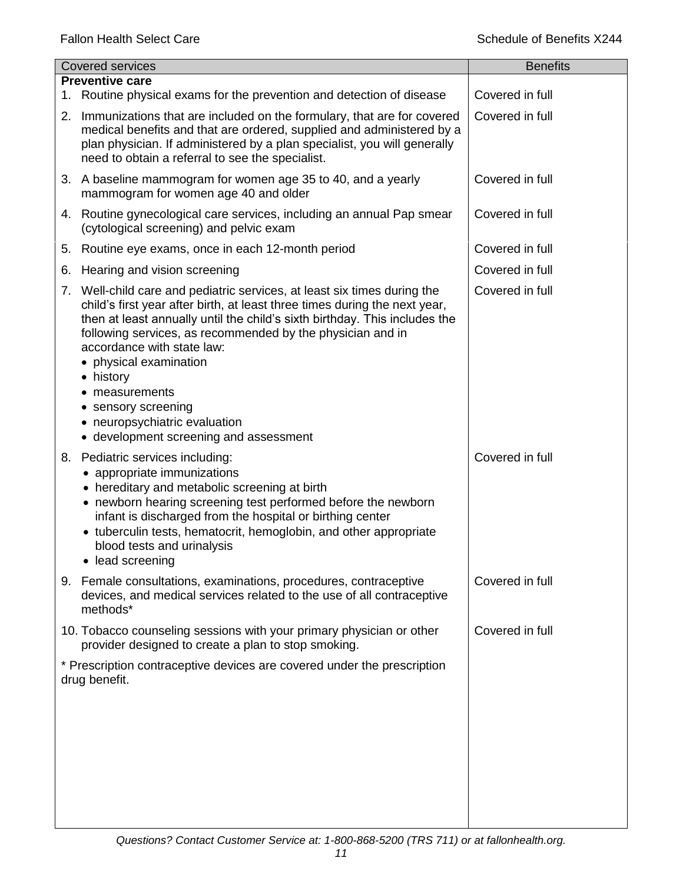|    | <b>Covered services</b>                                                                                                                                                                                                                                                                                                                                                                                                                                                                | <b>Benefits</b> |
|----|----------------------------------------------------------------------------------------------------------------------------------------------------------------------------------------------------------------------------------------------------------------------------------------------------------------------------------------------------------------------------------------------------------------------------------------------------------------------------------------|-----------------|
|    | <b>Preventive care</b>                                                                                                                                                                                                                                                                                                                                                                                                                                                                 |                 |
| 1. | Routine physical exams for the prevention and detection of disease                                                                                                                                                                                                                                                                                                                                                                                                                     | Covered in full |
| 2. | Immunizations that are included on the formulary, that are for covered<br>medical benefits and that are ordered, supplied and administered by a<br>plan physician. If administered by a plan specialist, you will generally<br>need to obtain a referral to see the specialist.                                                                                                                                                                                                        | Covered in full |
|    | 3. A baseline mammogram for women age 35 to 40, and a yearly<br>mammogram for women age 40 and older                                                                                                                                                                                                                                                                                                                                                                                   | Covered in full |
|    | 4. Routine gynecological care services, including an annual Pap smear<br>(cytological screening) and pelvic exam                                                                                                                                                                                                                                                                                                                                                                       | Covered in full |
| 5. | Routine eye exams, once in each 12-month period                                                                                                                                                                                                                                                                                                                                                                                                                                        | Covered in full |
| 6. | Hearing and vision screening                                                                                                                                                                                                                                                                                                                                                                                                                                                           | Covered in full |
|    | 7. Well-child care and pediatric services, at least six times during the<br>child's first year after birth, at least three times during the next year,<br>then at least annually until the child's sixth birthday. This includes the<br>following services, as recommended by the physician and in<br>accordance with state law:<br>physical examination<br>history<br>٠<br>measurements<br>sensory screening<br>neuropsychiatric evaluation<br>• development screening and assessment | Covered in full |
|    | 8. Pediatric services including:<br>• appropriate immunizations<br>• hereditary and metabolic screening at birth<br>• newborn hearing screening test performed before the newborn<br>infant is discharged from the hospital or birthing center<br>• tuberculin tests, hematocrit, hemoglobin, and other appropriate<br>blood tests and urinalysis<br>• lead screening                                                                                                                  | Covered in full |
|    | 9. Female consultations, examinations, procedures, contraceptive<br>devices, and medical services related to the use of all contraceptive<br>methods*                                                                                                                                                                                                                                                                                                                                  | Covered in full |
|    | 10. Tobacco counseling sessions with your primary physician or other<br>provider designed to create a plan to stop smoking.                                                                                                                                                                                                                                                                                                                                                            | Covered in full |
|    | * Prescription contraceptive devices are covered under the prescription<br>drug benefit.                                                                                                                                                                                                                                                                                                                                                                                               |                 |
|    |                                                                                                                                                                                                                                                                                                                                                                                                                                                                                        |                 |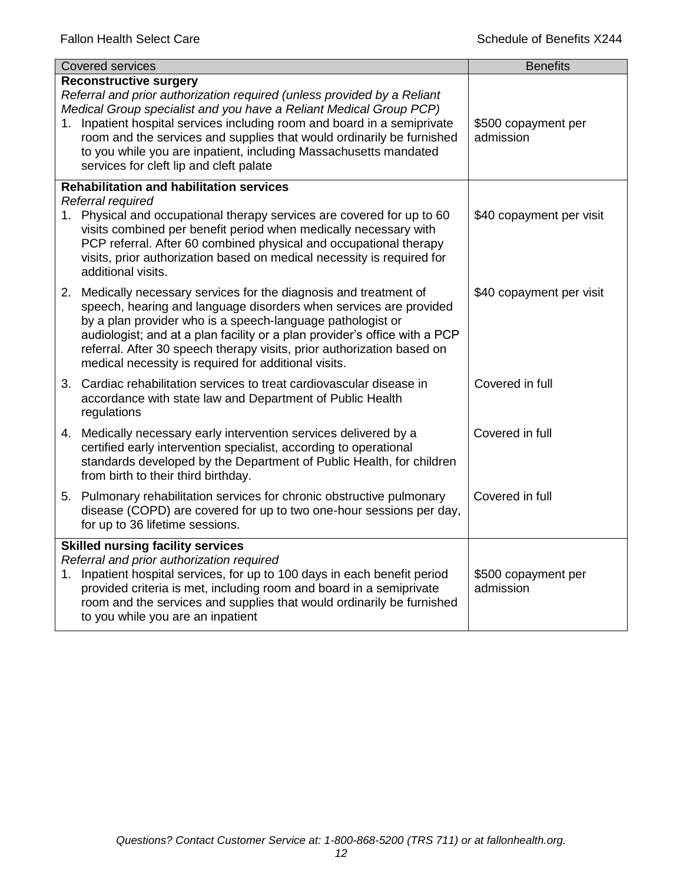| <b>Covered services</b>                  |                                                                                                                                                                                                                                                                                                                                                                                                                                                    | <b>Benefits</b>                  |
|------------------------------------------|----------------------------------------------------------------------------------------------------------------------------------------------------------------------------------------------------------------------------------------------------------------------------------------------------------------------------------------------------------------------------------------------------------------------------------------------------|----------------------------------|
|                                          | <b>Reconstructive surgery</b><br>Referral and prior authorization required (unless provided by a Reliant<br>Medical Group specialist and you have a Reliant Medical Group PCP)<br>1. Inpatient hospital services including room and board in a semiprivate<br>room and the services and supplies that would ordinarily be furnished<br>to you while you are inpatient, including Massachusetts mandated<br>services for cleft lip and cleft palate | \$500 copayment per<br>admission |
|                                          | <b>Rehabilitation and habilitation services</b>                                                                                                                                                                                                                                                                                                                                                                                                    |                                  |
|                                          | Referral required<br>1. Physical and occupational therapy services are covered for up to 60<br>visits combined per benefit period when medically necessary with<br>PCP referral. After 60 combined physical and occupational therapy<br>visits, prior authorization based on medical necessity is required for<br>additional visits.                                                                                                               | \$40 copayment per visit         |
|                                          | 2. Medically necessary services for the diagnosis and treatment of<br>speech, hearing and language disorders when services are provided<br>by a plan provider who is a speech-language pathologist or<br>audiologist; and at a plan facility or a plan provider's office with a PCP<br>referral. After 30 speech therapy visits, prior authorization based on<br>medical necessity is required for additional visits.                              | \$40 copayment per visit         |
|                                          | 3. Cardiac rehabilitation services to treat cardiovascular disease in<br>accordance with state law and Department of Public Health<br>regulations                                                                                                                                                                                                                                                                                                  | Covered in full                  |
|                                          | 4. Medically necessary early intervention services delivered by a<br>certified early intervention specialist, according to operational<br>standards developed by the Department of Public Health, for children<br>from birth to their third birthday.                                                                                                                                                                                              | Covered in full                  |
|                                          | 5. Pulmonary rehabilitation services for chronic obstructive pulmonary<br>disease (COPD) are covered for up to two one-hour sessions per day,<br>for up to 36 lifetime sessions.                                                                                                                                                                                                                                                                   | Covered in full                  |
| <b>Skilled nursing facility services</b> |                                                                                                                                                                                                                                                                                                                                                                                                                                                    |                                  |
|                                          | Referral and prior authorization required<br>1. Inpatient hospital services, for up to 100 days in each benefit period<br>provided criteria is met, including room and board in a semiprivate<br>room and the services and supplies that would ordinarily be furnished<br>to you while you are an inpatient                                                                                                                                        | \$500 copayment per<br>admission |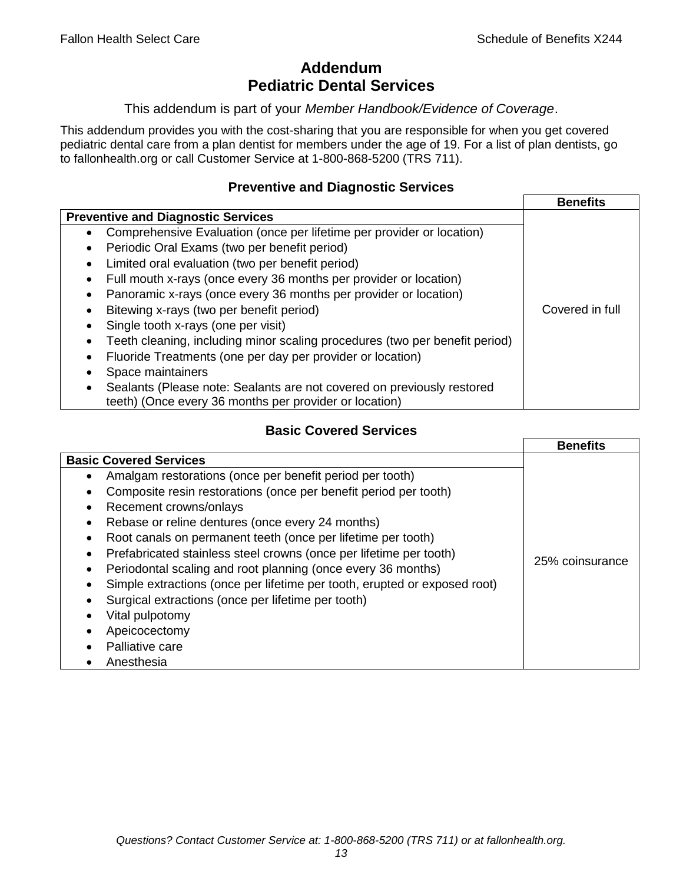# **Addendum Pediatric Dental Services**

#### This addendum is part of your *Member Handbook/Evidence of Coverage*.

This addendum provides you with the cost-sharing that you are responsible for when you get covered pediatric dental care from a plan dentist for members under the age of 19. For a list of plan dentists, go to fallonhealth.org or call Customer Service at 1-800-868-5200 (TRS 711).

#### **Preventive and Diagnostic Services**

|                                                                                    | <b>Benefits</b> |
|------------------------------------------------------------------------------------|-----------------|
| <b>Preventive and Diagnostic Services</b>                                          |                 |
| Comprehensive Evaluation (once per lifetime per provider or location)<br>$\bullet$ |                 |
| Periodic Oral Exams (two per benefit period)<br>٠                                  |                 |
| Limited oral evaluation (two per benefit period)<br>٠                              |                 |
| Full mouth x-rays (once every 36 months per provider or location)                  |                 |
| Panoramic x-rays (once every 36 months per provider or location)<br>٠              |                 |
| Bitewing x-rays (two per benefit period)                                           | Covered in full |
| Single tooth x-rays (one per visit)                                                |                 |
| Teeth cleaning, including minor scaling procedures (two per benefit period)        |                 |
| Fluoride Treatments (one per day per provider or location)                         |                 |
| Space maintainers                                                                  |                 |
| Sealants (Please note: Sealants are not covered on previously restored             |                 |
| teeth) (Once every 36 months per provider or location)                             |                 |

# **Basic Covered Services**

|                                                                           | <b>Benefits</b> |
|---------------------------------------------------------------------------|-----------------|
| <b>Basic Covered Services</b>                                             |                 |
| Amalgam restorations (once per benefit period per tooth)<br>$\bullet$     |                 |
| Composite resin restorations (once per benefit period per tooth)          |                 |
| Recement crowns/onlays<br>$\bullet$                                       |                 |
| Rebase or reline dentures (once every 24 months)                          |                 |
| Root canals on permanent teeth (once per lifetime per tooth)<br>$\bullet$ |                 |
| Prefabricated stainless steel crowns (once per lifetime per tooth)        |                 |
| Periodontal scaling and root planning (once every 36 months)<br>$\bullet$ | 25% coinsurance |
| Simple extractions (once per lifetime per tooth, erupted or exposed root) |                 |
| Surgical extractions (once per lifetime per tooth)                        |                 |
| Vital pulpotomy                                                           |                 |
| Apeicocectomy                                                             |                 |
| Palliative care                                                           |                 |
| Anesthesia                                                                |                 |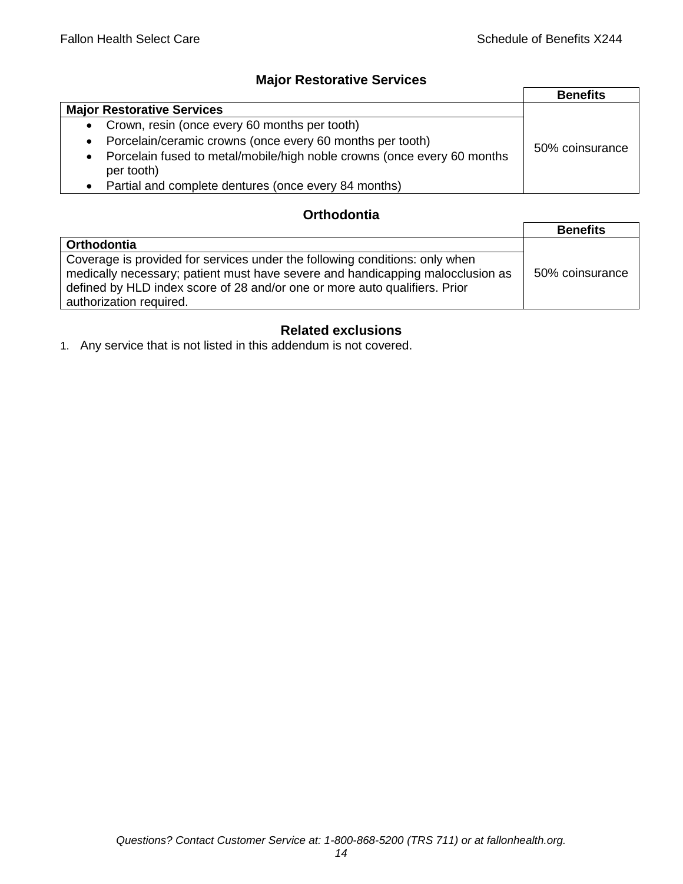## **Major Restorative Services**

|                                                                                                    | <b>Benefits</b> |
|----------------------------------------------------------------------------------------------------|-----------------|
| <b>Major Restorative Services</b>                                                                  |                 |
| Crown, resin (once every 60 months per tooth)<br>$\bullet$                                         |                 |
| Porcelain/ceramic crowns (once every 60 months per tooth)<br>$\bullet$                             | 50% coinsurance |
| Porcelain fused to metal/mobile/high noble crowns (once every 60 months<br>$\bullet$<br>per tooth) |                 |
| Partial and complete dentures (once every 84 months)                                               |                 |

### **Orthodontia**

|                                                                                                                                                                                                                                                                        | <b>Benefits</b> |
|------------------------------------------------------------------------------------------------------------------------------------------------------------------------------------------------------------------------------------------------------------------------|-----------------|
| Orthodontia                                                                                                                                                                                                                                                            |                 |
| Coverage is provided for services under the following conditions: only when<br>medically necessary; patient must have severe and handicapping malocclusion as<br>defined by HLD index score of 28 and/or one or more auto qualifiers. Prior<br>authorization required. | 50% coinsurance |

# **Related exclusions**

1. Any service that is not listed in this addendum is not covered.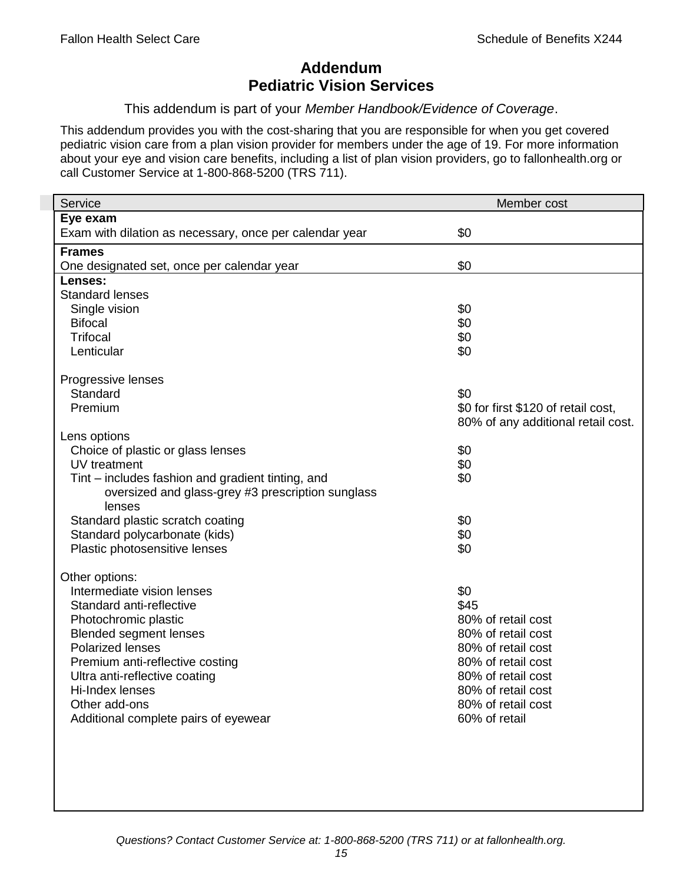# **Addendum Pediatric Vision Services**

This addendum is part of your *Member Handbook/Evidence of Coverage*.

This addendum provides you with the cost-sharing that you are responsible for when you get covered pediatric vision care from a plan vision provider for members under the age of 19. For more information about your eye and vision care benefits, including a list of plan vision providers, go to fallonhealth.org or call Customer Service at 1-800-868-5200 (TRS 711).

| Eye exam<br>\$0<br>Exam with dilation as necessary, once per calendar year<br><b>Frames</b><br>\$0<br>One designated set, once per calendar year<br>Lenses:<br><b>Standard lenses</b><br>\$0<br>Single vision<br>\$0<br><b>Bifocal</b><br><b>Trifocal</b><br>\$0<br>\$0<br>Lenticular<br>Progressive lenses<br>\$0<br>Standard<br>Premium<br>\$0 for first \$120 of retail cost,<br>80% of any additional retail cost.<br>Lens options<br>Choice of plastic or glass lenses<br>\$0<br>UV treatment<br>\$0<br>\$0<br>Tint – includes fashion and gradient tinting, and<br>oversized and glass-grey #3 prescription sunglass<br>lenses<br>Standard plastic scratch coating<br>\$0<br>\$0<br>Standard polycarbonate (kids)<br>Plastic photosensitive lenses<br>\$0<br>Other options:<br>Intermediate vision lenses<br>\$0<br>\$45<br>Standard anti-reflective<br>80% of retail cost<br>Photochromic plastic<br><b>Blended segment lenses</b><br>80% of retail cost<br><b>Polarized lenses</b><br>80% of retail cost<br>Premium anti-reflective costing<br>80% of retail cost<br>Ultra anti-reflective coating<br>80% of retail cost<br>Hi-Index lenses<br>80% of retail cost | Service       | Member cost        |
|---------------------------------------------------------------------------------------------------------------------------------------------------------------------------------------------------------------------------------------------------------------------------------------------------------------------------------------------------------------------------------------------------------------------------------------------------------------------------------------------------------------------------------------------------------------------------------------------------------------------------------------------------------------------------------------------------------------------------------------------------------------------------------------------------------------------------------------------------------------------------------------------------------------------------------------------------------------------------------------------------------------------------------------------------------------------------------------------------------------------------------------------------------------------------|---------------|--------------------|
|                                                                                                                                                                                                                                                                                                                                                                                                                                                                                                                                                                                                                                                                                                                                                                                                                                                                                                                                                                                                                                                                                                                                                                           |               |                    |
|                                                                                                                                                                                                                                                                                                                                                                                                                                                                                                                                                                                                                                                                                                                                                                                                                                                                                                                                                                                                                                                                                                                                                                           |               |                    |
|                                                                                                                                                                                                                                                                                                                                                                                                                                                                                                                                                                                                                                                                                                                                                                                                                                                                                                                                                                                                                                                                                                                                                                           |               |                    |
|                                                                                                                                                                                                                                                                                                                                                                                                                                                                                                                                                                                                                                                                                                                                                                                                                                                                                                                                                                                                                                                                                                                                                                           |               |                    |
|                                                                                                                                                                                                                                                                                                                                                                                                                                                                                                                                                                                                                                                                                                                                                                                                                                                                                                                                                                                                                                                                                                                                                                           |               |                    |
|                                                                                                                                                                                                                                                                                                                                                                                                                                                                                                                                                                                                                                                                                                                                                                                                                                                                                                                                                                                                                                                                                                                                                                           |               |                    |
|                                                                                                                                                                                                                                                                                                                                                                                                                                                                                                                                                                                                                                                                                                                                                                                                                                                                                                                                                                                                                                                                                                                                                                           |               |                    |
|                                                                                                                                                                                                                                                                                                                                                                                                                                                                                                                                                                                                                                                                                                                                                                                                                                                                                                                                                                                                                                                                                                                                                                           |               |                    |
|                                                                                                                                                                                                                                                                                                                                                                                                                                                                                                                                                                                                                                                                                                                                                                                                                                                                                                                                                                                                                                                                                                                                                                           |               |                    |
|                                                                                                                                                                                                                                                                                                                                                                                                                                                                                                                                                                                                                                                                                                                                                                                                                                                                                                                                                                                                                                                                                                                                                                           |               |                    |
|                                                                                                                                                                                                                                                                                                                                                                                                                                                                                                                                                                                                                                                                                                                                                                                                                                                                                                                                                                                                                                                                                                                                                                           |               |                    |
|                                                                                                                                                                                                                                                                                                                                                                                                                                                                                                                                                                                                                                                                                                                                                                                                                                                                                                                                                                                                                                                                                                                                                                           |               |                    |
|                                                                                                                                                                                                                                                                                                                                                                                                                                                                                                                                                                                                                                                                                                                                                                                                                                                                                                                                                                                                                                                                                                                                                                           |               |                    |
|                                                                                                                                                                                                                                                                                                                                                                                                                                                                                                                                                                                                                                                                                                                                                                                                                                                                                                                                                                                                                                                                                                                                                                           |               |                    |
|                                                                                                                                                                                                                                                                                                                                                                                                                                                                                                                                                                                                                                                                                                                                                                                                                                                                                                                                                                                                                                                                                                                                                                           |               |                    |
|                                                                                                                                                                                                                                                                                                                                                                                                                                                                                                                                                                                                                                                                                                                                                                                                                                                                                                                                                                                                                                                                                                                                                                           |               |                    |
|                                                                                                                                                                                                                                                                                                                                                                                                                                                                                                                                                                                                                                                                                                                                                                                                                                                                                                                                                                                                                                                                                                                                                                           |               |                    |
|                                                                                                                                                                                                                                                                                                                                                                                                                                                                                                                                                                                                                                                                                                                                                                                                                                                                                                                                                                                                                                                                                                                                                                           |               |                    |
|                                                                                                                                                                                                                                                                                                                                                                                                                                                                                                                                                                                                                                                                                                                                                                                                                                                                                                                                                                                                                                                                                                                                                                           |               |                    |
|                                                                                                                                                                                                                                                                                                                                                                                                                                                                                                                                                                                                                                                                                                                                                                                                                                                                                                                                                                                                                                                                                                                                                                           |               |                    |
|                                                                                                                                                                                                                                                                                                                                                                                                                                                                                                                                                                                                                                                                                                                                                                                                                                                                                                                                                                                                                                                                                                                                                                           |               |                    |
|                                                                                                                                                                                                                                                                                                                                                                                                                                                                                                                                                                                                                                                                                                                                                                                                                                                                                                                                                                                                                                                                                                                                                                           |               |                    |
|                                                                                                                                                                                                                                                                                                                                                                                                                                                                                                                                                                                                                                                                                                                                                                                                                                                                                                                                                                                                                                                                                                                                                                           |               |                    |
|                                                                                                                                                                                                                                                                                                                                                                                                                                                                                                                                                                                                                                                                                                                                                                                                                                                                                                                                                                                                                                                                                                                                                                           |               |                    |
|                                                                                                                                                                                                                                                                                                                                                                                                                                                                                                                                                                                                                                                                                                                                                                                                                                                                                                                                                                                                                                                                                                                                                                           |               |                    |
|                                                                                                                                                                                                                                                                                                                                                                                                                                                                                                                                                                                                                                                                                                                                                                                                                                                                                                                                                                                                                                                                                                                                                                           |               |                    |
|                                                                                                                                                                                                                                                                                                                                                                                                                                                                                                                                                                                                                                                                                                                                                                                                                                                                                                                                                                                                                                                                                                                                                                           |               |                    |
|                                                                                                                                                                                                                                                                                                                                                                                                                                                                                                                                                                                                                                                                                                                                                                                                                                                                                                                                                                                                                                                                                                                                                                           |               |                    |
|                                                                                                                                                                                                                                                                                                                                                                                                                                                                                                                                                                                                                                                                                                                                                                                                                                                                                                                                                                                                                                                                                                                                                                           |               |                    |
|                                                                                                                                                                                                                                                                                                                                                                                                                                                                                                                                                                                                                                                                                                                                                                                                                                                                                                                                                                                                                                                                                                                                                                           |               |                    |
|                                                                                                                                                                                                                                                                                                                                                                                                                                                                                                                                                                                                                                                                                                                                                                                                                                                                                                                                                                                                                                                                                                                                                                           |               |                    |
|                                                                                                                                                                                                                                                                                                                                                                                                                                                                                                                                                                                                                                                                                                                                                                                                                                                                                                                                                                                                                                                                                                                                                                           |               |                    |
|                                                                                                                                                                                                                                                                                                                                                                                                                                                                                                                                                                                                                                                                                                                                                                                                                                                                                                                                                                                                                                                                                                                                                                           | Other add-ons | 80% of retail cost |
| Additional complete pairs of eyewear<br>60% of retail                                                                                                                                                                                                                                                                                                                                                                                                                                                                                                                                                                                                                                                                                                                                                                                                                                                                                                                                                                                                                                                                                                                     |               |                    |
|                                                                                                                                                                                                                                                                                                                                                                                                                                                                                                                                                                                                                                                                                                                                                                                                                                                                                                                                                                                                                                                                                                                                                                           |               |                    |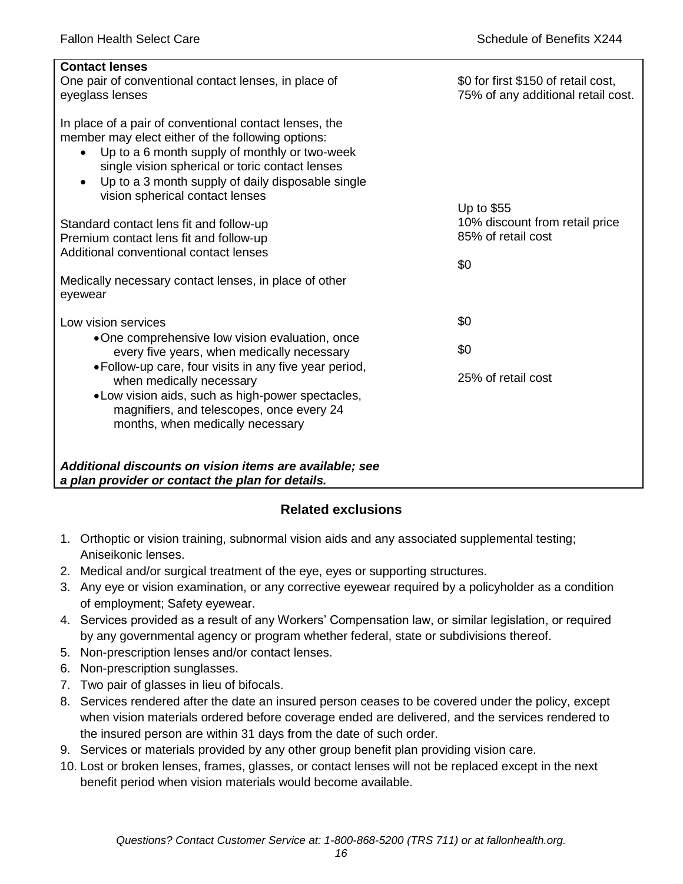| <b>Contact lenses</b><br>One pair of conventional contact lenses, in place of<br>eyeglass lenses                                                                                                                                                                                                                     | \$0 for first \$150 of retail cost,<br>75% of any additional retail cost. |
|----------------------------------------------------------------------------------------------------------------------------------------------------------------------------------------------------------------------------------------------------------------------------------------------------------------------|---------------------------------------------------------------------------|
| In place of a pair of conventional contact lenses, the<br>member may elect either of the following options:<br>Up to a 6 month supply of monthly or two-week<br>$\bullet$<br>single vision spherical or toric contact lenses<br>Up to a 3 month supply of daily disposable single<br>vision spherical contact lenses |                                                                           |
|                                                                                                                                                                                                                                                                                                                      | Up to \$55<br>10% discount from retail price                              |
| Standard contact lens fit and follow-up<br>Premium contact lens fit and follow-up                                                                                                                                                                                                                                    | 85% of retail cost                                                        |
| Additional conventional contact lenses                                                                                                                                                                                                                                                                               |                                                                           |
|                                                                                                                                                                                                                                                                                                                      | \$0                                                                       |
| Medically necessary contact lenses, in place of other<br>eyewear                                                                                                                                                                                                                                                     |                                                                           |
| Low vision services                                                                                                                                                                                                                                                                                                  | \$0                                                                       |
| •One comprehensive low vision evaluation, once<br>every five years, when medically necessary                                                                                                                                                                                                                         | \$0                                                                       |
| • Follow-up care, four visits in any five year period,<br>when medically necessary<br>.Low vision aids, such as high-power spectacles,<br>magnifiers, and telescopes, once every 24                                                                                                                                  | 25% of retail cost                                                        |
| months, when medically necessary                                                                                                                                                                                                                                                                                     |                                                                           |
|                                                                                                                                                                                                                                                                                                                      |                                                                           |
| Additional discounts on vision items are available; see<br>a plan provider or contact the plan for details.                                                                                                                                                                                                          |                                                                           |

# **Related exclusions**

- 1. Orthoptic or vision training, subnormal vision aids and any associated supplemental testing; Aniseikonic lenses.
- 2. Medical and/or surgical treatment of the eye, eyes or supporting structures.
- 3. Any eye or vision examination, or any corrective eyewear required by a policyholder as a condition of employment; Safety eyewear.
- 4. Services provided as a result of any Workers' Compensation law, or similar legislation, or required by any governmental agency or program whether federal, state or subdivisions thereof.
- 5. Non-prescription lenses and/or contact lenses.
- 6. Non-prescription sunglasses.
- 7. Two pair of glasses in lieu of bifocals.
- 8. Services rendered after the date an insured person ceases to be covered under the policy, except when vision materials ordered before coverage ended are delivered, and the services rendered to the insured person are within 31 days from the date of such order.
- 9. Services or materials provided by any other group benefit plan providing vision care.
- 10. Lost or broken lenses, frames, glasses, or contact lenses will not be replaced except in the next benefit period when vision materials would become available.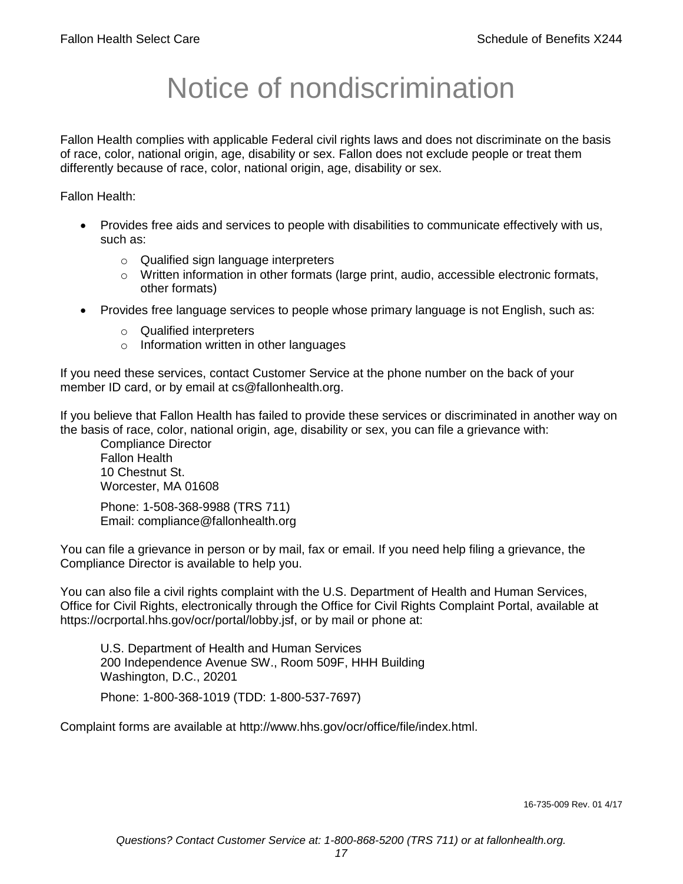# Notice of nondiscrimination

Fallon Health complies with applicable Federal civil rights laws and does not discriminate on the basis of race, color, national origin, age, disability or sex. Fallon does not exclude people or treat them differently because of race, color, national origin, age, disability or sex.

Fallon Health:

- Provides free aids and services to people with disabilities to communicate effectively with us, such as:
	- o Qualified sign language interpreters
	- $\circ$  Written information in other formats (large print, audio, accessible electronic formats, other formats)
- Provides free language services to people whose primary language is not English, such as:
	- o Qualified interpreters
	- o Information written in other languages

If you need these services, contact Customer Service at the phone number on the back of your member ID card, or by email at cs@fallonhealth.org.

If you believe that Fallon Health has failed to provide these services or discriminated in another way on the basis of race, color, national origin, age, disability or sex, you can file a grievance with:

Compliance Director Fallon Health 10 Chestnut St. Worcester, MA 01608

Phone: 1-508-368-9988 (TRS 711) Email: compliance@fallonhealth.org

You can file a grievance in person or by mail, fax or email. If you need help filing a grievance, the Compliance Director is available to help you.

You can also file a civil rights complaint with the U.S. Department of Health and Human Services, Office for Civil Rights, electronically through the Office for Civil Rights Complaint Portal, available at https://ocrportal.hhs.gov/ocr/portal/lobby.jsf, or by mail or phone at:

U.S. Department of Health and Human Services 200 Independence Avenue SW., Room 509F, HHH Building Washington, D.C., 20201

Phone: 1-800-368-1019 (TDD: 1-800-537-7697)

Complaint forms are available at http://www.hhs.gov/ocr/office/file/index.html.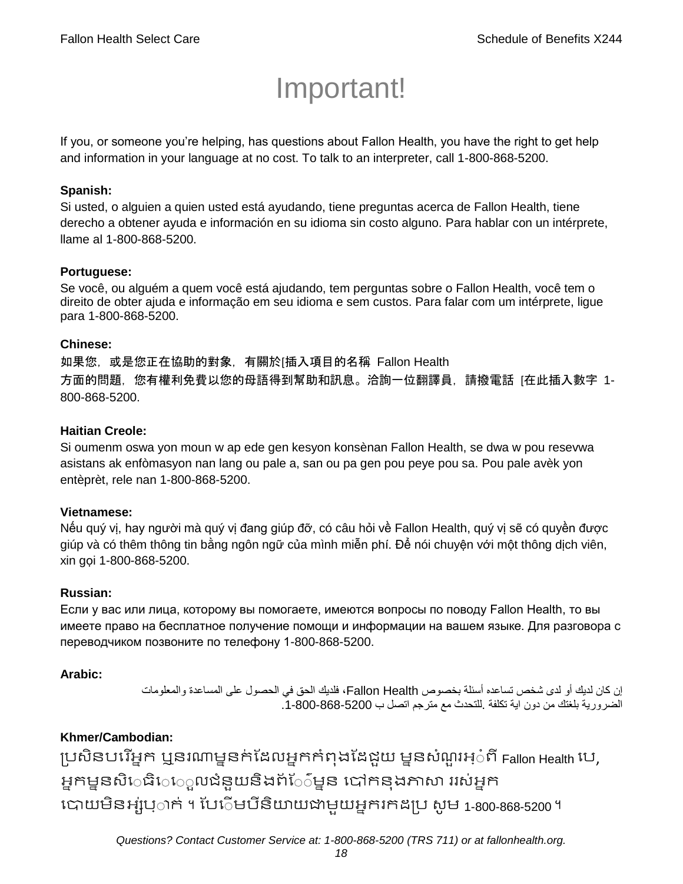# Important!

If you, or someone you're helping, has questions about Fallon Health, you have the right to get help and information in your language at no cost. To talk to an interpreter, call 1-800-868-5200.

#### **Spanish:**

Si usted, o alguien a quien usted está ayudando, tiene preguntas acerca de Fallon Health, tiene derecho a obtener ayuda e información en su idioma sin costo alguno. Para hablar con un intérprete, llame al 1-800-868-5200.

#### **Portuguese:**

Se você, ou alguém a quem você está ajudando, tem perguntas sobre o Fallon Health, você tem o direito de obter ajuda e informação em seu idioma e sem custos. Para falar com um intérprete, ligue para 1-800-868-5200.

#### **Chinese:**

如果您,或是您正在協助的對象,有關於[插入項目的名稱 Fallon Health 方面的問題,您有權利免費以您的母語得到幫助和訊息。洽詢一位翻譯員,請撥電話 [在此插入數字 1- 800-868-5200.

#### **Haitian Creole:**

Si oumenm oswa yon moun w ap ede gen kesyon konsènan Fallon Health, se dwa w pou resevwa asistans ak enfòmasyon nan lang ou pale a, san ou pa gen pou peye pou sa. Pou pale avèk yon entèprèt, rele nan 1-800-868-5200.

#### **Vietnamese:**

Nếu quý vị, hay người mà quý vị đang giúp đỡ, có câu hỏi về Fallon Health, quý vị sẽ có quyền được giúp và có thêm thông tin bằng ngôn ngữ của mình miễn phí. Để nói chuyện với một thông dịch viên, xin gọi 1-800-868-5200.

#### **Russian:**

Если у вас или лица, которому вы помогаете, имеются вопросы по поводу Fallon Health, то вы имеете право на бесплатное получение помощи и информации на вашем языке. Для разговора с переводчиком позвоните по телефону 1-800-868-5200.

#### **Arabic:**

إن كان لديك أو لدى شخص تساعده أسئلة بخصوص Health Fallon، فلديك الحق في الحصول على المساعدة والمعلومات الضرورية بلغتك من دون اية تكلفة .للتحدث مع مترجم اتصل ب .1-800-868-5200

### **Khmer/Cambodian:**

ប្រសិនបរើអ្នក ឬនរណាម្ននក់ដែលអ្នកកំពុងដែជួយ ម្ននសំណួរអ្៎ពី Fallon Health បេ, អ្នកម្ននសិេធិេេ្លលជំនួយនិងព័ែ៌ម្នន បៅកនុងភាសា ររស់អ្នក រោយម្ិនអ្ស់រ្ំ ក់ ។ ដររំម្ រនី ិយាយជាម្ួយអ្នក កែប្រ សូ ម្ 1-800-868-5200 ។

*Questions? Contact Customer Service at: 1-800-868-5200 (TRS 711) or at fallonhealth.org.*